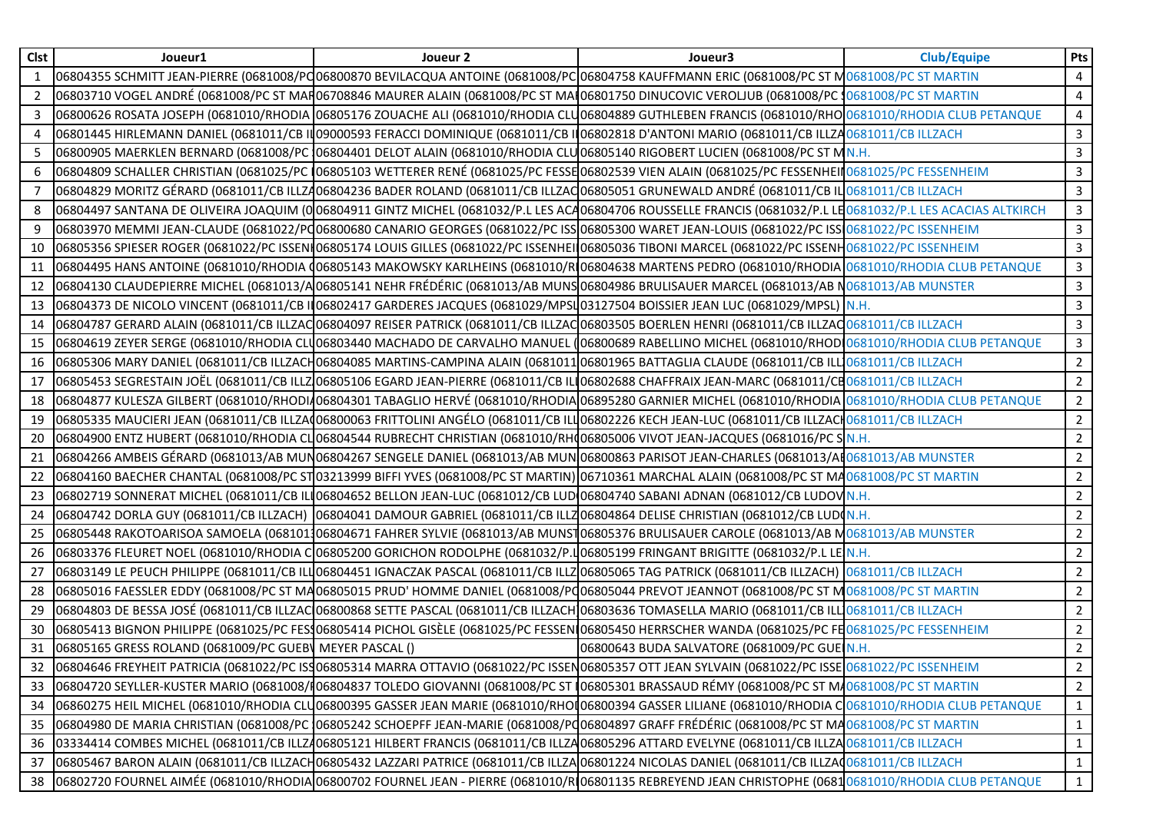| <b>Clst</b>  | Joueur1                                                 | Joueur 2 | Joueur3                                                                                                                                                      | <b>Club/Equipe</b> | Pts                 |
|--------------|---------------------------------------------------------|----------|--------------------------------------------------------------------------------------------------------------------------------------------------------------|--------------------|---------------------|
| $\mathbf{1}$ |                                                         |          | 06804355 SCHMITT JEAN-PIERRE (0681008/PC06800870 BEVILACQUA ANTOINE (0681008/PC 06804758 KAUFFMANN ERIC (0681008/PC ST MO681008/PC ST MARTIN                 |                    |                     |
| 2            |                                                         |          | 06803710 VOGEL ANDRÉ (0681008/PC ST MAR06708846 MAURER ALAIN (0681008/PC ST MAI 06801750 DINUCOVIC VEROLJUB (0681008/PC \$0681008/PC \$T MARTIN              |                    | $\overline{4}$<br>4 |
| 3            |                                                         |          | 06800626 ROSATA JOSEPH (0681010/RHODIA 06805176 ZOUACHE ALI (0681010/RHODIA CLU06804889 GUTHLEBEN FRANCIS (0681010/RHO $\vert$ 0681010/RHODIA CLUB PETANQUE  |                    | $\overline{4}$      |
|              |                                                         |          |                                                                                                                                                              |                    |                     |
| 4            |                                                         |          | 06801445 HIRLEMANN DANIEL (0681011/CB IN09000593 FERACCI DOMINIQUE (0681011/CB IN06802818 D'ANTONI MARIO (0681011/CB ILLZA0681011/CB ILLZACH                 |                    | $\mathbf{3}$        |
| 5            |                                                         |          | 06800905 MAERKLEN BERNARD (0681008/PC 06804401 DELOT ALAIN (0681010/RHODIA CLU06805140 RIGOBERT LUCIEN (0681008/PC ST MN.H.                                  |                    | $\mathbf{3}$        |
| 6            |                                                         |          | 06804809 SCHALLER CHRISTIAN (0681025/PC 106805103 WETTERER RENÉ (0681025/PC FESSE06802539 VIEN ALAIN (0681025/PC FESSENHEII 0681025/PC FESSENHEII            |                    | $\mathbf{3}$        |
|              |                                                         |          | 06804829 MORITZ GÉRARD (0681011/CB ILLZ406804236 BADER ROLAND (0681011/CB ILLZAC 06805051 GRUNEWALD ANDRÉ (0681011/CB IL 0681011/CB ILLZACH                  |                    | 3                   |
| 8            |                                                         |          | 06804497 SANTANA DE OLIVEIRA JOAQUIM (006804911 GINTZ MICHEL (0681032/P.L LES ACA06804706 ROUSSELLE FRANCIS (0681032/P.L LE0681032/P.L LES ACACIAS ALTKIRCH  |                    | $\overline{3}$      |
| 9            |                                                         |          | 06803970 MEMMI JEAN-CLAUDE (0681022/PQ06800680 CANARIO GEORGES (0681022/PC ISSO06805300 WARET JEAN-LOUIS (0681022/PC ISS <mark>I</mark> 0681022/PC ISSENHEIM |                    | $\mathbf{3}$        |
| 10           |                                                         |          | 06805356 SPIESER ROGER (0681022/PC ISSENI 06805174 LOUIS GILLES (0681022/PC ISSENHEI 06805036 TIBONI MARCEL (0681022/PC ISSENH0681022/PC ISSENHEIM           |                    | $\mathbf{3}$        |
| 11           |                                                         |          | 06804495 HANS ANTOINE (0681010/RHODIA (06805143 MAKOWSKY KARLHEINS (0681010/R 06804638 MARTENS PEDRO (0681010/RHODIA 0681010/RHODIA CLUB PETANQUE            |                    | $\mathbf{3}$        |
| 12           |                                                         |          | 06804130 CLAUDEPIERRE MICHEL (0681013/A06805141 NEHR FRÉDÉRIC (0681013/AB MUNS 06804986 BRULISAUER MARCEL (0681013/AB N0681013/AB MUNSTER                    |                    | $\mathbf{3}$        |
| 13           |                                                         |          | 06804373 DE NICOLO VINCENT (0681011/CB IIO6802417 GARDERES JACQUES (0681029/MPSI 03127504 BOISSIER JEAN LUC (0681029/MPSL) N.H.                              |                    | $\overline{3}$      |
| 14           |                                                         |          | 06804787 GERARD ALAIN (0681011/CB ILLZAC 06804097 REISER PATRICK (0681011/CB ILLZAC 06803505 BOERLEN HENRI (0681011/CB ILLZAC 0681011/CB ILLZACH             |                    | $\mathbf{3}$        |
| 15           |                                                         |          | 06804619 ZEYER SERGE (0681010/RHODIA CLU06803440 MACHADO DE CARVALHO MANUEL (06800689 RABELLINO MICHEL (0681010/RHODI 0681010/RHODIA CLUB PETANQUE           |                    | $\mathbf{3}$        |
| 16           |                                                         |          | 06805306 MARY DANIEL (0681011/CB ILLZACH06804085 MARTINS-CAMPINA ALAIN (068101106801965 BATTAGLIA CLAUDE (0681011/CB ILL10681011/CB ILLZACH                  |                    | $\overline{2}$      |
| 17           |                                                         |          | 06805453 SEGRESTAIN JOËL (0681011/CB ILLZ 06805106 EGARD JEAN-PIERRE (0681011/CB IL 06802688 CHAFFRAIX JEAN-MARC (0681011/CB O681011/CB ILLZACH              |                    | $2^{\circ}$         |
| 18           |                                                         |          | 06804877 KULESZA GILBERT (0681010/RHODI406804301 TABAGLIO HERVÉ (0681010/RHODIA 06895280 GARNIER MICHEL (0681010/RHODIA 0681010/RHODIA CLUB PETANQUE         |                    | $2^{\circ}$         |
| 19           |                                                         |          | 06805335 MAUCIERI JEAN (0681011/CB ILLZA(06800063 FRITTOLINI ANGÉLO (0681011/CB ILLO6802226 KECH JEAN-LUC (0681011/CB ILLZACH 0681011/CB ILLZACH             |                    | $2^{\circ}$         |
| 20           |                                                         |          | 06804900 ENTZ HUBERT (0681010/RHODIA CLO6804544 RUBRECHT CHRISTIAN (0681010/RH(06805006 VIVOT JEAN-JACQUES (0681016/PC S N.H.                                |                    | $2^{\circ}$         |
| 21           |                                                         |          | 06804266 AMBEIS GÉRARD (0681013/AB MUN06804267 SENGELE DANIEL (0681013/AB MUN 06800863 PARISOT JEAN-CHARLES (0681013/A[0681013/AB MUNSTER                    |                    | $\overline{2}$      |
| 22           |                                                         |          | 06804160 BAECHER CHANTAL (0681008/PC ST 03213999 BIFFI YVES (0681008/PC ST MARTIN) 06710361 MARCHAL ALAIN (0681008/PC ST MA0681008/PC ST MARTIN              |                    | $2^{\circ}$         |
| 23           |                                                         |          | 06802719 SONNERAT MICHEL (0681011/CB ILIO6804652 BELLON JEAN-LUC (0681012/CB LUD 06804740 SABANI ADNAN (0681012/CB LUDOV N.H.                                |                    | $2^{\circ}$         |
| 24           |                                                         |          | 06804742 DORLA GUY (0681011/CB ILLZACH) (06804041 DAMOUR GABRIEL (0681011/CB ILLZ06804864 DELISE CHRISTIAN (0681012/CB LUDON.H.                              |                    | $2^{\circ}$         |
| 25           |                                                         |          | 06805448 RAKOTOARISOA SAMOELA (068101106804671 FAHRER SYLVIE (0681013/AB MUNST06805376 BRULISAUER CAROLE (0681013/AB M0681013/AB MUNSTER                     |                    | $2^{\circ}$         |
| 26           |                                                         |          | 06803376 FLEURET NOEL (0681010/RHODIA C 06805200 GORICHON RODOLPHE (0681032/P.LO6805199 FRINGANT BRIGITTE (0681032/P.L LE <mark>I</mark> N.H.                |                    | $\overline{2}$      |
| 27           |                                                         |          | 06803149 LE PEUCH PHILIPPE (0681011/CB ILLO6804451 IGNACZAK PASCAL (0681011/CB ILLZO6805065 TAG PATRICK (0681011/CB ILLZACH) 0681011/CB ILLZACH              |                    | $2^{\circ}$         |
| 28           |                                                         |          | 06805016 FAESSLER EDDY (0681008/PC ST MA06805015 PRUD' HOMME DANIEL (0681008/PC06805044 PREVOT JEANNOT (0681008/PC ST MO681008/PC ST MARTIN                  |                    | $\overline{2}$      |
| 29           |                                                         |          | 06804803 DE BESSA JOSÉ (0681011/CB ILLZAC 06800868 SETTE PASCAL (0681011/CB ILLZACH 06803636 TOMASELLA MARIO (0681011/CB ILL10681011/CB ILLZACH              |                    | $\overline{2}$      |
| 30           |                                                         |          | 06805413 BIGNON PHILIPPE (0681025/PC FES\$06805414 PICHOL GISÈLE (0681025/PC FESSEN 06805450 HERRSCHER WANDA (0681025/PC FE0681025/PC FESSENHEIM             |                    | $2^{\circ}$         |
| 31           | 06805165 GRESS ROLAND (0681009/PC GUEB) MEYER PASCAL () |          | 06800643 BUDA SALVATORE (0681009/PC GUE N.H.                                                                                                                 |                    | 2                   |
|              |                                                         |          | 06804646 FREYHEIT PATRICIA (0681022/PC ISS06805314 MARRA OTTAVIO (0681022/PC ISSEN06805357 OTT JEAN SYLVAIN (0681022/PC ISSEN022/PC ISSENHEIM                |                    | $\overline{2}$      |
| 33           |                                                         |          | 06804720 SEYLLER-KUSTER MARIO (0681008/106804837 TOLEDO GIOVANNI (0681008/PC ST 106805301 BRASSAUD RÉMY (0681008/PC ST MA0681008/PC ST MARTIN                |                    | $\overline{2}$      |
| 34           |                                                         |          | 06860275 HEIL MICHEL (0681010/RHODIA CLU06800395 GASSER JEAN MARIE (0681010/RHOI06800394 GASSER LILIANE (0681010/RHODIA CO681010/RHODIA CLUB PETANQUE        |                    | $\mathbf{1}$        |
| 35           |                                                         |          | 06804980 DE MARIA CHRISTIAN (0681008/PC 06805242 SCHOEPFF JEAN-MARIE (0681008/PC06804897 GRAFF FRÉDÉRIC (0681008/PC ST MA0681008/PC ST MARTIN                |                    | $\mathbf{1}$        |
| 36           |                                                         |          | 03334414 COMBES MICHEL (0681011/CB ILLZ406805121 HILBERT FRANCIS (0681011/CB ILLZ406805296 ATTARD EVELYNE (0681011/CB ILLZ40681011/CB ILLZACH                |                    | $\mathbf{1}$        |
| 37           |                                                         |          | 06805467 BARON ALAIN (0681011/CB ILLZACH06805432 LAZZARI PATRICE (0681011/CB ILLZA06801224 NICOLAS DANIEL (0681011/CB ILLZAQ0681011/CB ILLZACH               |                    | $\mathbf{1}$        |
| 38           |                                                         |          | 06802720 FOURNEL AIMÉE (0681010/RHODIA 06800702 FOURNEL JEAN - PIERRE (0681010/R 06801135 REBREYEND JEAN CHRISTOPHE (06810681010/RHODIA CLUB PETANQUE        |                    | $\mathbf{1}$        |